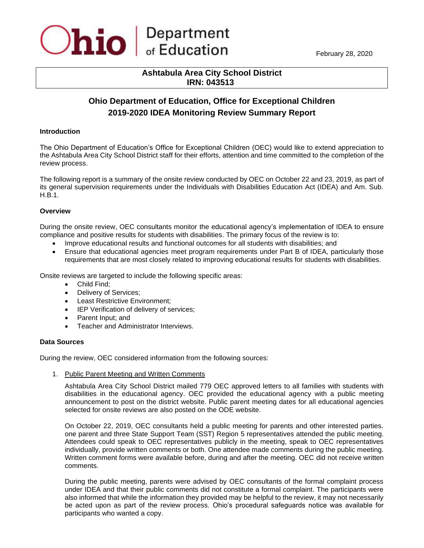## **Ashtabula Area City School District IRN: 043513**

# **Ohio Department of Education, Office for Exceptional Children 2019-2020 IDEA Monitoring Review Summary Report**

### **Introduction**

The Ohio Department of Education's Office for Exceptional Children (OEC) would like to extend appreciation to the Ashtabula Area City School District staff for their efforts, attention and time committed to the completion of the review process.

The following report is a summary of the onsite review conducted by OEC on October 22 and 23, 2019, as part of its general supervision requirements under the Individuals with Disabilities Education Act (IDEA) and Am. Sub. H.B.1.

## **Overview**

During the onsite review, OEC consultants monitor the educational agency's implementation of IDEA to ensure compliance and positive results for students with disabilities. The primary focus of the review is to:

- Improve educational results and functional outcomes for all students with disabilities; and
- Ensure that educational agencies meet program requirements under Part B of IDEA, particularly those requirements that are most closely related to improving educational results for students with disabilities.

Onsite reviews are targeted to include the following specific areas:

- Child Find;
- Delivery of Services;
- Least Restrictive Environment;
- IEP Verification of delivery of services;
- Parent Input; and
- Teacher and Administrator Interviews.

### **Data Sources**

During the review, OEC considered information from the following sources:

1. Public Parent Meeting and Written Comments

Ashtabula Area City School District mailed 779 OEC approved letters to all families with students with disabilities in the educational agency. OEC provided the educational agency with a public meeting announcement to post on the district website. Public parent meeting dates for all educational agencies selected for onsite reviews are also posted on the ODE website.

On October 22, 2019, OEC consultants held a public meeting for parents and other interested parties. one parent and three State Support Team (SST) Region 5 representatives attended the public meeting. Attendees could speak to OEC representatives publicly in the meeting, speak to OEC representatives individually, provide written comments or both. One attendee made comments during the public meeting. Written comment forms were available before, during and after the meeting. OEC did not receive written comments.

During the public meeting, parents were advised by OEC consultants of the formal complaint process under IDEA and that their public comments did not constitute a formal complaint. The participants were also informed that while the information they provided may be helpful to the review, it may not necessarily be acted upon as part of the review process. Ohio's procedural safeguards notice was available for participants who wanted a copy.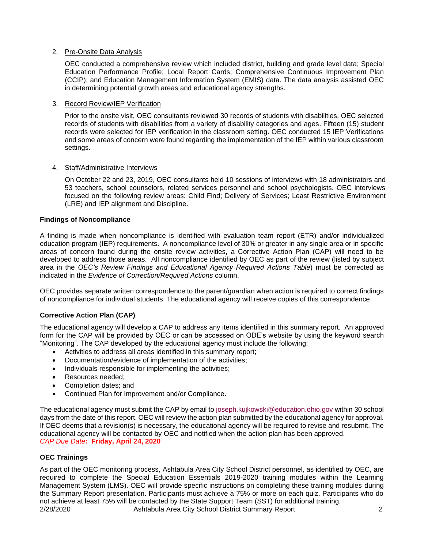## 2. Pre-Onsite Data Analysis

OEC conducted a comprehensive review which included district, building and grade level data; Special Education Performance Profile; Local Report Cards; Comprehensive Continuous Improvement Plan (CCIP); and Education Management Information System (EMIS) data. The data analysis assisted OEC in determining potential growth areas and educational agency strengths.

## 3. Record Review/IEP Verification

Prior to the onsite visit, OEC consultants reviewed 30 records of students with disabilities. OEC selected records of students with disabilities from a variety of disability categories and ages. Fifteen (15) student records were selected for IEP verification in the classroom setting. OEC conducted 15 IEP Verifications and some areas of concern were found regarding the implementation of the IEP within various classroom settings.

## 4. Staff/Administrative Interviews

On October 22 and 23, 2019, OEC consultants held 10 sessions of interviews with 18 administrators and 53 teachers, school counselors, related services personnel and school psychologists. OEC interviews focused on the following review areas: Child Find; Delivery of Services; Least Restrictive Environment (LRE) and IEP alignment and Discipline.

## **Findings of Noncompliance**

A finding is made when noncompliance is identified with evaluation team report (ETR) and/or individualized education program (IEP) requirements. A noncompliance level of 30% or greater in any single area or in specific areas of concern found during the onsite review activities, a Corrective Action Plan (CAP) will need to be developed to address those areas. All noncompliance identified by OEC as part of the review (listed by subject area in the *OEC's Review Findings and Educational Agency Required Actions Table*) must be corrected as indicated in the *Evidence of Correction/Required Actions* column.

OEC provides separate written correspondence to the parent/guardian when action is required to correct findings of noncompliance for individual students. The educational agency will receive copies of this correspondence.

## **Corrective Action Plan (CAP)**

The educational agency will develop a CAP to address any items identified in this summary report. An approved form for the CAP will be provided by OEC or can be accessed on ODE's website by using the keyword search "Monitoring". The CAP developed by the educational agency must include the following:

- Activities to address all areas identified in this summary report;
- Documentation/evidence of implementation of the activities;
- Individuals responsible for implementing the activities;
- Resources needed;
- Completion dates; and
- Continued Plan for Improvement and/or Compliance.

The educational agency must submit the CAP by email to [joseph.kujkowski@education.ohio.gov](mailto:joseph.kujkowski@education.ohio.gov) within 30 school days from the date of this report. OEC will review the action plan submitted by the educational agency for approval. If OEC deems that a revision(s) is necessary, the educational agency will be required to revise and resubmit. The educational agency will be contacted by OEC and notified when the action plan has been approved. *CAP Due Date***: Friday, April 24, 2020** 

## **OEC Trainings**

2/28/2020 Ashtabula Area City School District Summary Report 2 As part of the OEC monitoring process, Ashtabula Area City School District personnel, as identified by OEC, are required to complete the Special Education Essentials 2019-2020 training modules within the Learning Management System (LMS). OEC will provide specific instructions on completing these training modules during the Summary Report presentation. Participants must achieve a 75% or more on each quiz. Participants who do not achieve at least 75% will be contacted by the State Support Team (SST) for additional training.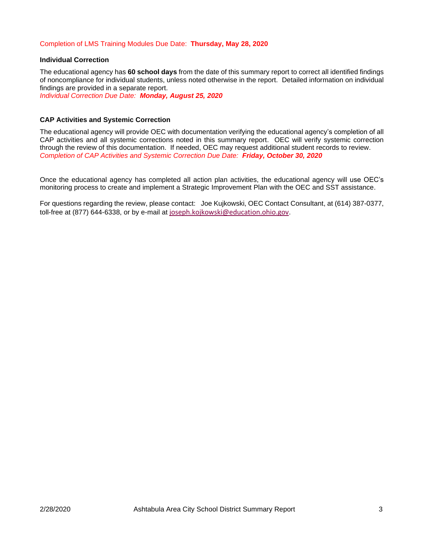## Completion of LMS Training Modules Due Date: **Thursday, May 28, 2020**

#### **Individual Correction**

The educational agency has **60 school days** from the date of this summary report to correct all identified findings of noncompliance for individual students, unless noted otherwise in the report. Detailed information on individual findings are provided in a separate report.

*Individual Correction Due Date: Monday, August 25, 2020*

#### **CAP Activities and Systemic Correction**

The educational agency will provide OEC with documentation verifying the educational agency's completion of all CAP activities and all systemic corrections noted in this summary report. OEC will verify systemic correction through the review of this documentation. If needed, OEC may request additional student records to review. *Completion of CAP Activities and Systemic Correction Due Date: Friday, October 30, 2020*

Once the educational agency has completed all action plan activities, the educational agency will use OEC's monitoring process to create and implement a Strategic Improvement Plan with the OEC and SST assistance.

For questions regarding the review, please contact:Joe Kujkowski, OEC Contact Consultant, at (614) 387-0377, toll-free at (877) 644-6338, or by e-mail at [joseph.kojkowski@education.ohio.gov](mailto:joseph.kojkowski@education.ohio.gov).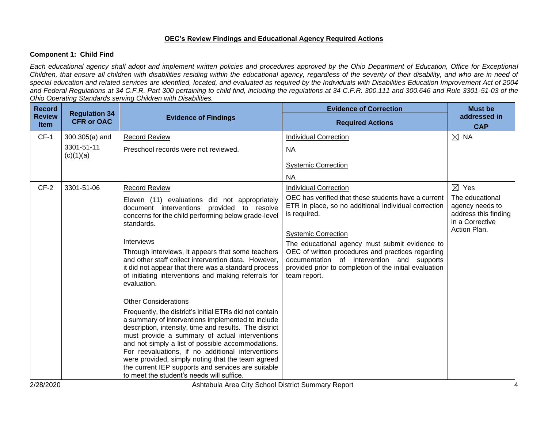## **OEC's Review Findings and Educational Agency Required Actions**

## **Component 1: Child Find**

*Each educational agency shall adopt and implement written policies and procedures approved by the Ohio Department of Education, Office for Exceptional Children, that ensure all children with disabilities residing within the educational agency, regardless of the severity of their disability, and who are in need of special education and related services are identified, located, and evaluated as required by the Individuals with Disabilities Education Improvement Act of 2004 and Federal Regulations at 34 C.F.R. Part 300 pertaining to child find, including the regulations at 34 C.F.R. 300.111 and 300.646 and Rule 3301-51-03 of the Ohio Operating Standards serving Children with Disabilities.* 

| <b>Record</b><br><b>Review</b><br><b>Item</b> | <b>Regulation 34</b><br><b>CFR or OAC</b> | <b>Evidence of Findings</b>                                                                                                                                                                                                                                                                                                                                                                                                                                                                                                              | <b>Evidence of Correction</b><br><b>Required Actions</b>                                                                                                                                                                                                                                                                                                                                 | <b>Must be</b><br>addressed in<br><b>CAP</b>                                                  |
|-----------------------------------------------|-------------------------------------------|------------------------------------------------------------------------------------------------------------------------------------------------------------------------------------------------------------------------------------------------------------------------------------------------------------------------------------------------------------------------------------------------------------------------------------------------------------------------------------------------------------------------------------------|------------------------------------------------------------------------------------------------------------------------------------------------------------------------------------------------------------------------------------------------------------------------------------------------------------------------------------------------------------------------------------------|-----------------------------------------------------------------------------------------------|
| $CF-1$                                        | $300.305(a)$ and                          | Record Review                                                                                                                                                                                                                                                                                                                                                                                                                                                                                                                            | <b>Individual Correction</b>                                                                                                                                                                                                                                                                                                                                                             | $\boxtimes$ NA                                                                                |
|                                               | 3301-51-11<br>(c)(1)(a)                   | Preschool records were not reviewed.                                                                                                                                                                                                                                                                                                                                                                                                                                                                                                     | <b>NA</b>                                                                                                                                                                                                                                                                                                                                                                                |                                                                                               |
|                                               |                                           |                                                                                                                                                                                                                                                                                                                                                                                                                                                                                                                                          | <b>Systemic Correction</b>                                                                                                                                                                                                                                                                                                                                                               |                                                                                               |
|                                               |                                           |                                                                                                                                                                                                                                                                                                                                                                                                                                                                                                                                          | <b>NA</b>                                                                                                                                                                                                                                                                                                                                                                                |                                                                                               |
| $CF-2$                                        | 3301-51-06                                | <b>Record Review</b>                                                                                                                                                                                                                                                                                                                                                                                                                                                                                                                     | <b>Individual Correction</b>                                                                                                                                                                                                                                                                                                                                                             | $\boxtimes$ Yes                                                                               |
|                                               |                                           | Eleven (11) evaluations did not appropriately<br>document interventions provided to resolve<br>concerns for the child performing below grade-level<br>standards.<br>Interviews<br>Through interviews, it appears that some teachers<br>and other staff collect intervention data. However,<br>it did not appear that there was a standard process<br>of initiating interventions and making referrals for                                                                                                                                | OEC has verified that these students have a current<br>ETR in place, so no additional individual correction<br>is required.<br><b>Systemic Correction</b><br>The educational agency must submit evidence to<br>OEC of written procedures and practices regarding<br>documentation of intervention and supports<br>provided prior to completion of the initial evaluation<br>team report. | The educational<br>agency needs to<br>address this finding<br>in a Corrective<br>Action Plan. |
|                                               |                                           | evaluation.<br><b>Other Considerations</b><br>Frequently, the district's initial ETRs did not contain<br>a summary of interventions implemented to include<br>description, intensity, time and results. The district<br>must provide a summary of actual interventions<br>and not simply a list of possible accommodations.<br>For reevaluations, if no additional interventions<br>were provided, simply noting that the team agreed<br>the current IEP supports and services are suitable<br>to meet the student's needs will suffice. |                                                                                                                                                                                                                                                                                                                                                                                          |                                                                                               |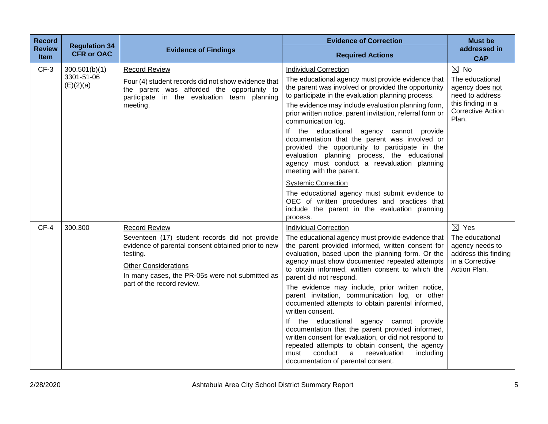| <b>Record</b><br><b>Review</b><br><b>Item</b> | <b>Regulation 34</b><br><b>CFR or OAC</b> | <b>Evidence of Findings</b>                                                                                                                                                                                                                              | <b>Evidence of Correction</b><br><b>Required Actions</b>                                                                                                                                                                                                                                                                                                                                                                                                                                                                                                                                                                                                                                                                                                                                                          | <b>Must be</b><br>addressed in<br><b>CAP</b>                                                                                      |
|-----------------------------------------------|-------------------------------------------|----------------------------------------------------------------------------------------------------------------------------------------------------------------------------------------------------------------------------------------------------------|-------------------------------------------------------------------------------------------------------------------------------------------------------------------------------------------------------------------------------------------------------------------------------------------------------------------------------------------------------------------------------------------------------------------------------------------------------------------------------------------------------------------------------------------------------------------------------------------------------------------------------------------------------------------------------------------------------------------------------------------------------------------------------------------------------------------|-----------------------------------------------------------------------------------------------------------------------------------|
| $CF-3$                                        | 300.501(b)(1)<br>3301-51-06<br>(E)(2)(a)  | <b>Record Review</b><br>Four (4) student records did not show evidence that<br>the parent was afforded the opportunity to<br>participate in the evaluation team planning<br>meeting.                                                                     | <b>Individual Correction</b><br>The educational agency must provide evidence that<br>the parent was involved or provided the opportunity<br>to participate in the evaluation planning process.<br>The evidence may include evaluation planning form,<br>prior written notice, parent invitation, referral form or<br>communication log.<br>If the educational agency cannot provide<br>documentation that the parent was involved or<br>provided the opportunity to participate in the<br>evaluation planning process, the educational<br>agency must conduct a reevaluation planning<br>meeting with the parent.                                                                                                                                                                                                 | $\boxtimes$ No<br>The educational<br>agency does not<br>need to address<br>this finding in a<br><b>Corrective Action</b><br>Plan. |
|                                               |                                           |                                                                                                                                                                                                                                                          | <b>Systemic Correction</b><br>The educational agency must submit evidence to<br>OEC of written procedures and practices that<br>include the parent in the evaluation planning<br>process.                                                                                                                                                                                                                                                                                                                                                                                                                                                                                                                                                                                                                         |                                                                                                                                   |
| $CF-4$                                        | 300.300                                   | <b>Record Review</b><br>Seventeen (17) student records did not provide<br>evidence of parental consent obtained prior to new<br>testing.<br><b>Other Considerations</b><br>In many cases, the PR-05s were not submitted as<br>part of the record review. | <b>Individual Correction</b><br>The educational agency must provide evidence that<br>the parent provided informed, written consent for<br>evaluation, based upon the planning form. Or the<br>agency must show documented repeated attempts<br>to obtain informed, written consent to which the<br>parent did not respond.<br>The evidence may include, prior written notice,<br>parent invitation, communication log, or other<br>documented attempts to obtain parental informed,<br>written consent.<br>If the educational<br>agency cannot provide<br>documentation that the parent provided informed,<br>written consent for evaluation, or did not respond to<br>repeated attempts to obtain consent, the agency<br>including<br>must<br>conduct<br>a<br>reevaluation<br>documentation of parental consent. | $\boxtimes$ Yes<br>The educational<br>agency needs to<br>address this finding<br>in a Corrective<br>Action Plan.                  |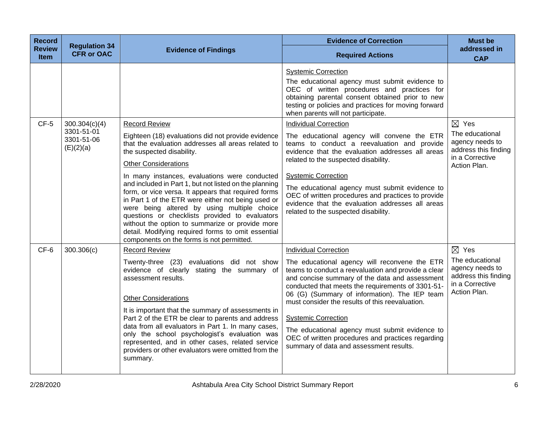| <b>Record</b><br><b>Review</b><br><b>Item</b> | <b>Regulation 34</b><br><b>CFR or OAC</b>              | <b>Evidence of Findings</b>                                                                                                                                                                                                                                                                                                                                                                                                                                                                                                                                                                                                                                                 | <b>Evidence of Correction</b><br><b>Required Actions</b>                                                                                                                                                                                                                                                                                                                                                                                                                                                                        | <b>Must be</b><br>addressed in<br><b>CAP</b>                                                                     |
|-----------------------------------------------|--------------------------------------------------------|-----------------------------------------------------------------------------------------------------------------------------------------------------------------------------------------------------------------------------------------------------------------------------------------------------------------------------------------------------------------------------------------------------------------------------------------------------------------------------------------------------------------------------------------------------------------------------------------------------------------------------------------------------------------------------|---------------------------------------------------------------------------------------------------------------------------------------------------------------------------------------------------------------------------------------------------------------------------------------------------------------------------------------------------------------------------------------------------------------------------------------------------------------------------------------------------------------------------------|------------------------------------------------------------------------------------------------------------------|
|                                               |                                                        |                                                                                                                                                                                                                                                                                                                                                                                                                                                                                                                                                                                                                                                                             | <b>Systemic Correction</b><br>The educational agency must submit evidence to<br>OEC of written procedures and practices for<br>obtaining parental consent obtained prior to new<br>testing or policies and practices for moving forward<br>when parents will not participate.                                                                                                                                                                                                                                                   |                                                                                                                  |
| $CF-5$                                        | 300.304(c)(4)<br>3301-51-01<br>3301-51-06<br>(E)(2)(a) | <b>Record Review</b><br>Eighteen (18) evaluations did not provide evidence<br>that the evaluation addresses all areas related to<br>the suspected disability.<br><b>Other Considerations</b><br>In many instances, evaluations were conducted<br>and included in Part 1, but not listed on the planning<br>form, or vice versa. It appears that required forms<br>in Part 1 of the ETR were either not being used or<br>were being altered by using multiple choice<br>questions or checklists provided to evaluators<br>without the option to summarize or provide more<br>detail. Modifying required forms to omit essential<br>components on the forms is not permitted. | <b>Individual Correction</b><br>The educational agency will convene the ETR<br>teams to conduct a reevaluation and provide<br>evidence that the evaluation addresses all areas<br>related to the suspected disability.<br><b>Systemic Correction</b><br>The educational agency must submit evidence to<br>OEC of written procedures and practices to provide<br>evidence that the evaluation addresses all areas<br>related to the suspected disability.                                                                        | $\boxtimes$ Yes<br>The educational<br>agency needs to<br>address this finding<br>in a Corrective<br>Action Plan. |
| CF-6                                          | 300.306(c)                                             | <b>Record Review</b><br>Twenty-three (23) evaluations did not show<br>evidence of clearly stating the summary of<br>assessment results.<br><b>Other Considerations</b><br>It is important that the summary of assessments in<br>Part 2 of the ETR be clear to parents and address<br>data from all evaluators in Part 1. In many cases,<br>only the school psychologist's evaluation was<br>represented, and in other cases, related service<br>providers or other evaluators were omitted from the<br>summary.                                                                                                                                                             | <b>Individual Correction</b><br>The educational agency will reconvene the ETR<br>teams to conduct a reevaluation and provide a clear<br>and concise summary of the data and assessment<br>conducted that meets the requirements of 3301-51-<br>06 (G) (Summary of information). The IEP team<br>must consider the results of this reevaluation.<br><b>Systemic Correction</b><br>The educational agency must submit evidence to<br>OEC of written procedures and practices regarding<br>summary of data and assessment results. | $\boxtimes$ Yes<br>The educational<br>agency needs to<br>address this finding<br>in a Corrective<br>Action Plan. |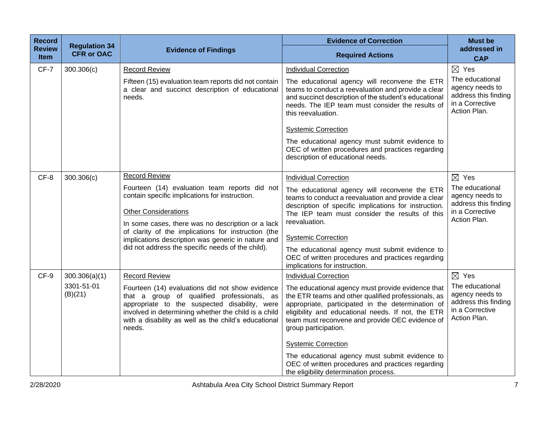| <b>Record</b><br><b>Review</b> | <b>Regulation 34</b>                   | <b>Evidence of Findings</b>                                                                                                                                                                                                                                                                                                                                                   | <b>Evidence of Correction</b>                                                                                                                                                                                                                                                                                                                                                                                                                                                                                 | <b>Must be</b><br>addressed in                                                                                   |
|--------------------------------|----------------------------------------|-------------------------------------------------------------------------------------------------------------------------------------------------------------------------------------------------------------------------------------------------------------------------------------------------------------------------------------------------------------------------------|---------------------------------------------------------------------------------------------------------------------------------------------------------------------------------------------------------------------------------------------------------------------------------------------------------------------------------------------------------------------------------------------------------------------------------------------------------------------------------------------------------------|------------------------------------------------------------------------------------------------------------------|
| Item                           | <b>CFR or OAC</b>                      |                                                                                                                                                                                                                                                                                                                                                                               | <b>Required Actions</b>                                                                                                                                                                                                                                                                                                                                                                                                                                                                                       | <b>CAP</b>                                                                                                       |
| CF-7                           | 300.306(c)                             | <b>Record Review</b><br>Fifteen (15) evaluation team reports did not contain<br>a clear and succinct description of educational<br>needs.                                                                                                                                                                                                                                     | Individual Correction<br>The educational agency will reconvene the ETR<br>teams to conduct a reevaluation and provide a clear<br>and succinct description of the student's educational<br>needs. The IEP team must consider the results of<br>this reevaluation.<br><b>Systemic Correction</b><br>The educational agency must submit evidence to<br>OEC of written procedures and practices regarding<br>description of educational needs.                                                                    | $\boxtimes$ Yes<br>The educational<br>agency needs to<br>address this finding<br>in a Corrective<br>Action Plan. |
| CF-8                           | 300.306(c)                             | <b>Record Review</b><br>Fourteen (14) evaluation team reports did not<br>contain specific implications for instruction.<br><b>Other Considerations</b><br>In some cases, there was no description or a lack<br>of clarity of the implications for instruction (the<br>implications description was generic in nature and<br>did not address the specific needs of the child). | <b>Individual Correction</b><br>The educational agency will reconvene the ETR<br>teams to conduct a reevaluation and provide a clear<br>description of specific implications for instruction.<br>The IEP team must consider the results of this<br>reevaluation.<br><b>Systemic Correction</b><br>The educational agency must submit evidence to<br>OEC of written procedures and practices regarding<br>implications for instruction.                                                                        | $\boxtimes$ Yes<br>The educational<br>agency needs to<br>address this finding<br>in a Corrective<br>Action Plan. |
| CF-9                           | 300.306(a)(1)<br>3301-51-01<br>(B)(21) | <b>Record Review</b><br>Fourteen (14) evaluations did not show evidence<br>that a group of qualified professionals, as<br>appropriate to the suspected disability, were<br>involved in determining whether the child is a child<br>with a disability as well as the child's educational<br>needs.                                                                             | <b>Individual Correction</b><br>The educational agency must provide evidence that<br>the ETR teams and other qualified professionals, as<br>appropriate, participated in the determination of<br>eligibility and educational needs. If not, the ETR<br>team must reconvene and provide OEC evidence of<br>group participation.<br><b>Systemic Correction</b><br>The educational agency must submit evidence to<br>OEC of written procedures and practices regarding<br>the eligibility determination process. | $\boxtimes$ Yes<br>The educational<br>agency needs to<br>address this finding<br>in a Corrective<br>Action Plan. |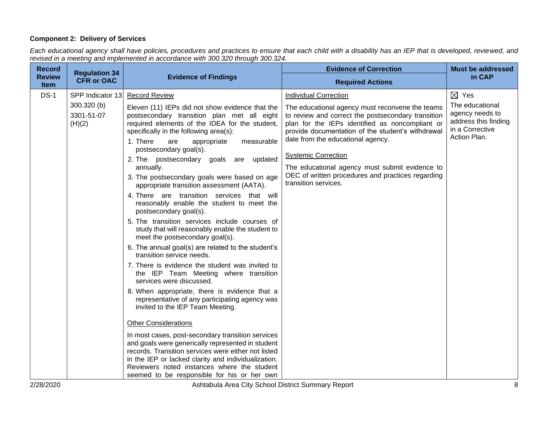## **Component 2: Delivery of Services**

*Each educational agency shall have policies, procedures and practices to ensure that each child with a disability has an IEP that is developed, reviewed, and revised in a meeting and implemented in accordance with 300.320 through 300.324.*

|                                                                                                                                                                                                                                                                                                                                                                                                                                                                                                                                                                                                                                                                                                                                                                                                                                                                                                                                                                                                                                                                                                                                                                                                                                                                                                                        | <b>Evidence of Correction</b>                                                                                                                                                                                                                                                                                                                                                                                                                   | <b>Must be addressed</b>                                                                                         |
|------------------------------------------------------------------------------------------------------------------------------------------------------------------------------------------------------------------------------------------------------------------------------------------------------------------------------------------------------------------------------------------------------------------------------------------------------------------------------------------------------------------------------------------------------------------------------------------------------------------------------------------------------------------------------------------------------------------------------------------------------------------------------------------------------------------------------------------------------------------------------------------------------------------------------------------------------------------------------------------------------------------------------------------------------------------------------------------------------------------------------------------------------------------------------------------------------------------------------------------------------------------------------------------------------------------------|-------------------------------------------------------------------------------------------------------------------------------------------------------------------------------------------------------------------------------------------------------------------------------------------------------------------------------------------------------------------------------------------------------------------------------------------------|------------------------------------------------------------------------------------------------------------------|
| <b>Evidence of Findings</b>                                                                                                                                                                                                                                                                                                                                                                                                                                                                                                                                                                                                                                                                                                                                                                                                                                                                                                                                                                                                                                                                                                                                                                                                                                                                                            | <b>Required Actions</b>                                                                                                                                                                                                                                                                                                                                                                                                                         | in CAP                                                                                                           |
| <b>Record Review</b><br>Eleven (11) IEPs did not show evidence that the<br>postsecondary transition plan met all eight<br>required elements of the IDEA for the student,<br>specifically in the following area(s):<br>1. There<br>are<br>appropriate<br>measurable<br>postsecondary goal(s).<br>2. The postsecondary goals are updated<br>annually.<br>3. The postsecondary goals were based on age<br>appropriate transition assessment (AATA).<br>4. There are transition services that will<br>reasonably enable the student to meet the<br>postsecondary goal(s).<br>5. The transition services include courses of<br>study that will reasonably enable the student to<br>meet the postsecondary goal(s).<br>6. The annual goal(s) are related to the student's<br>transition service needs.<br>7. There is evidence the student was invited to<br>the IEP Team Meeting where transition<br>services were discussed.<br>8. When appropriate, there is evidence that a<br>representative of any participating agency was<br>invited to the IEP Team Meeting.<br><b>Other Considerations</b><br>In most cases, post-secondary transition services<br>and goals were generically represented in student<br>records. Transition services were either not listed<br>in the IEP or lacked clarity and individualization. | <b>Individual Correction</b><br>The educational agency must reconvene the teams<br>to review and correct the postsecondary transition<br>plan for the IEPs identified as noncompliant or<br>provide documentation of the student's withdrawal<br>date from the educational agency.<br><b>Systemic Correction</b><br>The educational agency must submit evidence to<br>OEC of written procedures and practices regarding<br>transition services. | $\boxtimes$ Yes<br>The educational<br>agency needs to<br>address this finding<br>in a Corrective<br>Action Plan. |
|                                                                                                                                                                                                                                                                                                                                                                                                                                                                                                                                                                                                                                                                                                                                                                                                                                                                                                                                                                                                                                                                                                                                                                                                                                                                                                                        |                                                                                                                                                                                                                                                                                                                                                                                                                                                 | Reviewers noted instances where the student                                                                      |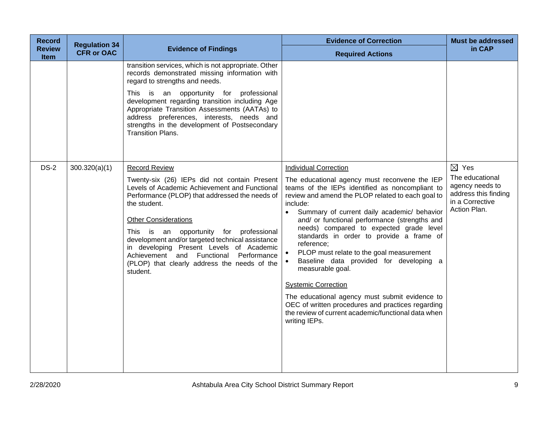| <b>Record</b>                | <b>Regulation 34</b> |                                                                                                                                                                                                                                                                                                                                                                                                                                                                         | <b>Evidence of Correction</b>                                                                                                                                                                                                                                                                                                                                                                                                                                                                                                                                                                                                                                                                                                               | <b>Must be addressed</b>                                                                                         |
|------------------------------|----------------------|-------------------------------------------------------------------------------------------------------------------------------------------------------------------------------------------------------------------------------------------------------------------------------------------------------------------------------------------------------------------------------------------------------------------------------------------------------------------------|---------------------------------------------------------------------------------------------------------------------------------------------------------------------------------------------------------------------------------------------------------------------------------------------------------------------------------------------------------------------------------------------------------------------------------------------------------------------------------------------------------------------------------------------------------------------------------------------------------------------------------------------------------------------------------------------------------------------------------------------|------------------------------------------------------------------------------------------------------------------|
| <b>Review</b><br><b>Item</b> | <b>CFR or OAC</b>    | <b>Evidence of Findings</b>                                                                                                                                                                                                                                                                                                                                                                                                                                             | <b>Required Actions</b>                                                                                                                                                                                                                                                                                                                                                                                                                                                                                                                                                                                                                                                                                                                     | in CAP                                                                                                           |
|                              |                      | transition services, which is not appropriate. Other<br>records demonstrated missing information with<br>regard to strengths and needs.<br>This is an opportunity for professional<br>development regarding transition including Age<br>Appropriate Transition Assessments (AATAs) to<br>address preferences, interests, needs and<br>strengths in the development of Postsecondary<br><b>Transition Plans.</b>                                                         |                                                                                                                                                                                                                                                                                                                                                                                                                                                                                                                                                                                                                                                                                                                                             |                                                                                                                  |
| $DS-2$                       | 300.320(a)(1)        | <b>Record Review</b><br>Twenty-six (26) IEPs did not contain Present<br>Levels of Academic Achievement and Functional<br>Performance (PLOP) that addressed the needs of<br>the student.<br><b>Other Considerations</b><br>This is an opportunity for professional<br>development and/or targeted technical assistance<br>in developing Present Levels of Academic<br>Achievement and Functional Performance<br>(PLOP) that clearly address the needs of the<br>student. | <b>Individual Correction</b><br>The educational agency must reconvene the IEP<br>teams of the IEPs identified as noncompliant to<br>review and amend the PLOP related to each goal to<br>include:<br>Summary of current daily academic/ behavior<br>$\bullet$<br>and/ or functional performance (strengths and<br>needs) compared to expected grade level<br>standards in order to provide a frame of<br>reference;<br>PLOP must relate to the goal measurement<br>Baseline data provided for developing a<br>measurable goal.<br><b>Systemic Correction</b><br>The educational agency must submit evidence to<br>OEC of written procedures and practices regarding<br>the review of current academic/functional data when<br>writing IEPs. | $\boxtimes$ Yes<br>The educational<br>agency needs to<br>address this finding<br>in a Corrective<br>Action Plan. |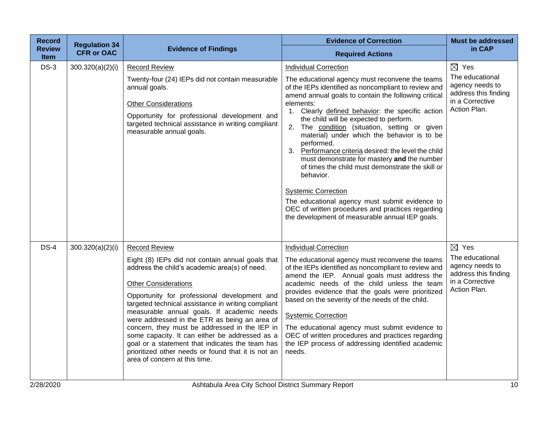| <b>Record</b>                | <b>Regulation 34</b> |                                                                                                                                                                                                                                                                                                                                                                                                                                                                                                                                                                                                            | <b>Evidence of Correction</b>                                                                                                                                                                                                                                                                                                                                                                                                                                                                                                                                                                                                                                                                                                                                                               | <b>Must be addressed</b>                                                                                         |
|------------------------------|----------------------|------------------------------------------------------------------------------------------------------------------------------------------------------------------------------------------------------------------------------------------------------------------------------------------------------------------------------------------------------------------------------------------------------------------------------------------------------------------------------------------------------------------------------------------------------------------------------------------------------------|---------------------------------------------------------------------------------------------------------------------------------------------------------------------------------------------------------------------------------------------------------------------------------------------------------------------------------------------------------------------------------------------------------------------------------------------------------------------------------------------------------------------------------------------------------------------------------------------------------------------------------------------------------------------------------------------------------------------------------------------------------------------------------------------|------------------------------------------------------------------------------------------------------------------|
| <b>Review</b><br><b>Item</b> | <b>CFR or OAC</b>    | <b>Evidence of Findings</b>                                                                                                                                                                                                                                                                                                                                                                                                                                                                                                                                                                                | <b>Required Actions</b>                                                                                                                                                                                                                                                                                                                                                                                                                                                                                                                                                                                                                                                                                                                                                                     | in CAP                                                                                                           |
| $DS-3$                       | 300.320(a)(2)(i)     | <b>Record Review</b><br>Twenty-four (24) IEPs did not contain measurable<br>annual goals.<br><b>Other Considerations</b><br>Opportunity for professional development and<br>targeted technical assistance in writing compliant<br>measurable annual goals.                                                                                                                                                                                                                                                                                                                                                 | <b>Individual Correction</b><br>The educational agency must reconvene the teams<br>of the IEPs identified as noncompliant to review and<br>amend annual goals to contain the following critical<br>elements:<br>1. Clearly defined behavior: the specific action<br>the child will be expected to perform.<br>2. The condition (situation, setting or given<br>material) under which the behavior is to be<br>performed.<br>Performance criteria desired: the level the child<br>3.<br>must demonstrate for mastery and the number<br>of times the child must demonstrate the skill or<br>behavior.<br><b>Systemic Correction</b><br>The educational agency must submit evidence to<br>OEC of written procedures and practices regarding<br>the development of measurable annual IEP goals. | $\boxtimes$ Yes<br>The educational<br>agency needs to<br>address this finding<br>in a Corrective<br>Action Plan. |
| $DS-4$                       | 300.320(a)(2)(i)     | <b>Record Review</b><br>Eight (8) IEPs did not contain annual goals that<br>address the child's academic area(s) of need.<br><b>Other Considerations</b><br>Opportunity for professional development and<br>targeted technical assistance in writing compliant<br>measurable annual goals. If academic needs<br>were addressed in the ETR as being an area of<br>concern, they must be addressed in the IEP in<br>some capacity. It can either be addressed as a<br>goal or a statement that indicates the team has<br>prioritized other needs or found that it is not an<br>area of concern at this time. | <b>Individual Correction</b><br>The educational agency must reconvene the teams<br>of the IEPs identified as noncompliant to review and<br>amend the IEP. Annual goals must address the<br>academic needs of the child unless the team<br>provides evidence that the goals were prioritized<br>based on the severity of the needs of the child.<br><b>Systemic Correction</b><br>The educational agency must submit evidence to<br>OEC of written procedures and practices regarding<br>the IEP process of addressing identified academic<br>needs.                                                                                                                                                                                                                                         | $\boxtimes$ Yes<br>The educational<br>agency needs to<br>address this finding<br>in a Corrective<br>Action Plan. |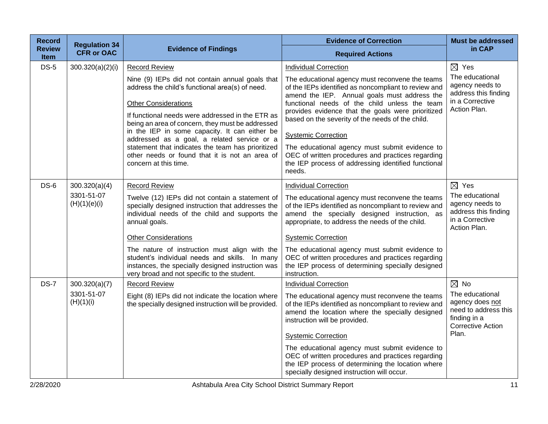| <b>Record</b>         | <b>Regulation 34</b>                        |                                                                                                                                                                                                                                                                                                                                                                                                                                                                           | <b>Evidence of Correction</b>                                                                                                                                                                                                                                                                                                                                                                                                                                                                                           | <b>Must be addressed</b>                                                                                         |
|-----------------------|---------------------------------------------|---------------------------------------------------------------------------------------------------------------------------------------------------------------------------------------------------------------------------------------------------------------------------------------------------------------------------------------------------------------------------------------------------------------------------------------------------------------------------|-------------------------------------------------------------------------------------------------------------------------------------------------------------------------------------------------------------------------------------------------------------------------------------------------------------------------------------------------------------------------------------------------------------------------------------------------------------------------------------------------------------------------|------------------------------------------------------------------------------------------------------------------|
| <b>Review</b><br>Item | <b>CFR or OAC</b>                           | <b>Evidence of Findings</b>                                                                                                                                                                                                                                                                                                                                                                                                                                               | <b>Required Actions</b>                                                                                                                                                                                                                                                                                                                                                                                                                                                                                                 | in CAP                                                                                                           |
| $DS-5$                | 300.320(a)(2)(i)                            | <b>Record Review</b>                                                                                                                                                                                                                                                                                                                                                                                                                                                      | <b>Individual Correction</b>                                                                                                                                                                                                                                                                                                                                                                                                                                                                                            | $\boxtimes$ Yes                                                                                                  |
|                       |                                             | Nine (9) IEPs did not contain annual goals that<br>address the child's functional area(s) of need.<br><b>Other Considerations</b><br>If functional needs were addressed in the ETR as<br>being an area of concern, they must be addressed<br>in the IEP in some capacity. It can either be<br>addressed as a goal, a related service or a<br>statement that indicates the team has prioritized<br>other needs or found that it is not an area of<br>concern at this time. | The educational agency must reconvene the teams<br>of the IEPs identified as noncompliant to review and<br>amend the IEP. Annual goals must address the<br>functional needs of the child unless the team<br>provides evidence that the goals were prioritized<br>based on the severity of the needs of the child.<br><b>Systemic Correction</b><br>The educational agency must submit evidence to<br>OEC of written procedures and practices regarding<br>the IEP process of addressing identified functional<br>needs. | The educational<br>agency needs to<br>address this finding<br>in a Corrective<br>Action Plan.                    |
| $DS-6$                | 300.320(a)(4)<br>3301-51-07<br>(H)(1)(e)(i) | <b>Record Review</b><br>Twelve (12) IEPs did not contain a statement of<br>specially designed instruction that addresses the<br>individual needs of the child and supports the<br>annual goals.<br><b>Other Considerations</b><br>The nature of instruction must align with the<br>student's individual needs and skills. In many<br>instances, the specially designed instruction was<br>very broad and not specific to the student.                                     | <b>Individual Correction</b><br>The educational agency must reconvene the teams<br>of the IEPs identified as noncompliant to review and<br>amend the specially designed instruction, as<br>appropriate, to address the needs of the child.<br><b>Systemic Correction</b><br>The educational agency must submit evidence to<br>OEC of written procedures and practices regarding<br>the IEP process of determining specially designed<br>instruction.                                                                    | $\boxtimes$ Yes<br>The educational<br>agency needs to<br>address this finding<br>in a Corrective<br>Action Plan. |
| <b>DS-7</b>           | 300.320(a)(7)                               | <b>Record Review</b>                                                                                                                                                                                                                                                                                                                                                                                                                                                      | <b>Individual Correction</b>                                                                                                                                                                                                                                                                                                                                                                                                                                                                                            | $\boxtimes$ No                                                                                                   |
|                       | 3301-51-07<br>(H)(1)(i)                     | Eight (8) IEPs did not indicate the location where<br>the specially designed instruction will be provided.                                                                                                                                                                                                                                                                                                                                                                | The educational agency must reconvene the teams<br>of the IEPs identified as noncompliant to review and<br>amend the location where the specially designed<br>instruction will be provided.<br><b>Systemic Correction</b><br>The educational agency must submit evidence to<br>OEC of written procedures and practices regarding<br>the IEP process of determining the location where<br>specially designed instruction will occur.                                                                                     | The educational<br>agency does not<br>need to address this<br>finding in a<br><b>Corrective Action</b><br>Plan.  |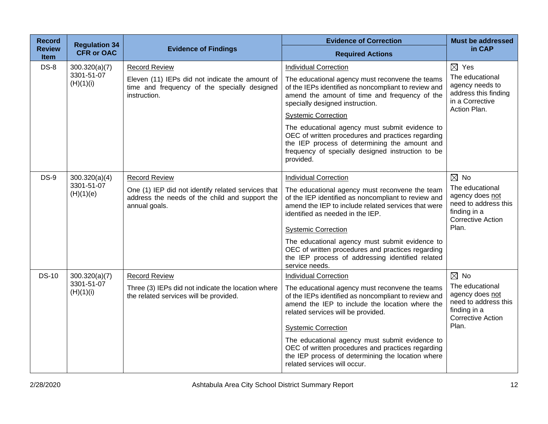| <b>Record</b>                | <b>Regulation 34</b>    |                                                                                                                       | <b>Evidence of Correction</b>                                                                                                                                                                                          | <b>Must be addressed</b>                                                                               |
|------------------------------|-------------------------|-----------------------------------------------------------------------------------------------------------------------|------------------------------------------------------------------------------------------------------------------------------------------------------------------------------------------------------------------------|--------------------------------------------------------------------------------------------------------|
| <b>Review</b><br><b>Item</b> | <b>CFR or OAC</b>       | <b>Evidence of Findings</b>                                                                                           | <b>Required Actions</b>                                                                                                                                                                                                | in CAP                                                                                                 |
| $DS-8$                       | 300.320(a)(7)           | <b>Record Review</b>                                                                                                  | <b>Individual Correction</b>                                                                                                                                                                                           | $\boxtimes$ Yes                                                                                        |
|                              | 3301-51-07<br>(H)(1)(i) | Eleven (11) IEPs did not indicate the amount of<br>time and frequency of the specially designed<br>instruction.       | The educational agency must reconvene the teams<br>of the IEPs identified as noncompliant to review and<br>amend the amount of time and frequency of the<br>specially designed instruction.                            | The educational<br>agency needs to<br>address this finding<br>in a Corrective<br>Action Plan.          |
|                              |                         |                                                                                                                       | <b>Systemic Correction</b>                                                                                                                                                                                             |                                                                                                        |
|                              |                         |                                                                                                                       | The educational agency must submit evidence to<br>OEC of written procedures and practices regarding<br>the IEP process of determining the amount and<br>frequency of specially designed instruction to be<br>provided. |                                                                                                        |
| <b>DS-9</b>                  | 300.320(a)(4)           | <b>Record Review</b>                                                                                                  | <b>Individual Correction</b>                                                                                                                                                                                           | $\boxtimes$ No                                                                                         |
|                              | 3301-51-07<br>(H)(1)(e) | One (1) IEP did not identify related services that<br>address the needs of the child and support the<br>annual goals. | The educational agency must reconvene the team<br>of the IEP identified as noncompliant to review and<br>amend the IEP to include related services that were<br>identified as needed in the IEP.                       | The educational<br>agency does not<br>need to address this<br>finding in a<br><b>Corrective Action</b> |
|                              |                         |                                                                                                                       | <b>Systemic Correction</b>                                                                                                                                                                                             | Plan.                                                                                                  |
|                              |                         |                                                                                                                       | The educational agency must submit evidence to<br>OEC of written procedures and practices regarding<br>the IEP process of addressing identified related<br>service needs.                                              |                                                                                                        |
| <b>DS-10</b>                 | 300.320(a)(7)           | <b>Record Review</b>                                                                                                  | <b>Individual Correction</b>                                                                                                                                                                                           | $\boxtimes$ No                                                                                         |
|                              | 3301-51-07<br>(H)(1)(i) | Three (3) IEPs did not indicate the location where<br>the related services will be provided.                          | The educational agency must reconvene the teams<br>of the IEPs identified as noncompliant to review and<br>amend the IEP to include the location where the<br>related services will be provided.                       | The educational<br>agency does not<br>need to address this<br>finding in a<br><b>Corrective Action</b> |
|                              |                         |                                                                                                                       | <b>Systemic Correction</b>                                                                                                                                                                                             | Plan.                                                                                                  |
|                              |                         |                                                                                                                       | The educational agency must submit evidence to<br>OEC of written procedures and practices regarding<br>the IEP process of determining the location where<br>related services will occur.                               |                                                                                                        |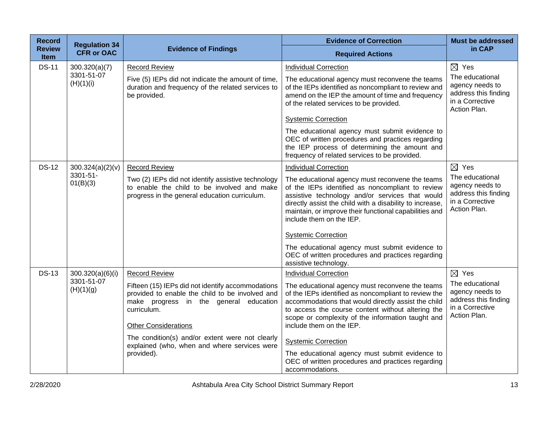| <b>Record</b>                | <b>Regulation 34</b>    |                                                                                                                                                                                              | <b>Evidence of Correction</b>                                                                                                                                                                                                                                                                            | <b>Must be addressed</b>                                                                      |
|------------------------------|-------------------------|----------------------------------------------------------------------------------------------------------------------------------------------------------------------------------------------|----------------------------------------------------------------------------------------------------------------------------------------------------------------------------------------------------------------------------------------------------------------------------------------------------------|-----------------------------------------------------------------------------------------------|
| <b>Review</b><br><b>Item</b> | <b>CFR or OAC</b>       | <b>Evidence of Findings</b>                                                                                                                                                                  | <b>Required Actions</b>                                                                                                                                                                                                                                                                                  | in CAP                                                                                        |
| <b>DS-11</b>                 | 300.320(a)(7)           | <b>Record Review</b>                                                                                                                                                                         | <b>Individual Correction</b>                                                                                                                                                                                                                                                                             | $\boxtimes$ Yes                                                                               |
|                              | 3301-51-07<br>(H)(1)(i) | Five (5) IEPs did not indicate the amount of time,<br>duration and frequency of the related services to<br>be provided.                                                                      | The educational agency must reconvene the teams<br>of the IEPs identified as noncompliant to review and<br>amend on the IEP the amount of time and frequency<br>of the related services to be provided.                                                                                                  | The educational<br>agency needs to<br>address this finding<br>in a Corrective<br>Action Plan. |
|                              |                         |                                                                                                                                                                                              | <b>Systemic Correction</b>                                                                                                                                                                                                                                                                               |                                                                                               |
|                              |                         |                                                                                                                                                                                              | The educational agency must submit evidence to<br>OEC of written procedures and practices regarding<br>the IEP process of determining the amount and<br>frequency of related services to be provided.                                                                                                    |                                                                                               |
| <b>DS-12</b>                 | 300.324(a)(2)(v)        | <b>Record Review</b>                                                                                                                                                                         | <b>Individual Correction</b>                                                                                                                                                                                                                                                                             | $\boxtimes$ Yes                                                                               |
|                              | 3301-51-<br>01(B)(3)    | Two (2) IEPs did not identify assistive technology<br>to enable the child to be involved and make<br>progress in the general education curriculum.                                           | The educational agency must reconvene the teams<br>of the IEPs identified as noncompliant to review<br>assistive technology and/or services that would<br>directly assist the child with a disability to increase,<br>maintain, or improve their functional capabilities and<br>include them on the IEP. | The educational<br>agency needs to<br>address this finding<br>in a Corrective<br>Action Plan. |
|                              |                         |                                                                                                                                                                                              | <b>Systemic Correction</b>                                                                                                                                                                                                                                                                               |                                                                                               |
|                              |                         |                                                                                                                                                                                              | The educational agency must submit evidence to<br>OEC of written procedures and practices regarding<br>assistive technology.                                                                                                                                                                             |                                                                                               |
| <b>DS-13</b>                 | 300.320(a)(6)(i)        | <b>Record Review</b>                                                                                                                                                                         | <b>Individual Correction</b>                                                                                                                                                                                                                                                                             | $\boxtimes$ Yes                                                                               |
|                              | 3301-51-07<br>(H)(1)(g) | Fifteen (15) IEPs did not identify accommodations<br>provided to enable the child to be involved and<br>make progress in the general education<br>curriculum.<br><b>Other Considerations</b> | The educational agency must reconvene the teams<br>of the IEPs identified as noncompliant to review the<br>accommodations that would directly assist the child<br>to access the course content without altering the<br>scope or complexity of the information taught and<br>include them on the IEP.     | The educational<br>agency needs to<br>address this finding<br>in a Corrective<br>Action Plan. |
|                              |                         | The condition(s) and/or extent were not clearly<br>explained (who, when and where services were<br>provided).                                                                                | <b>Systemic Correction</b><br>The educational agency must submit evidence to<br>OEC of written procedures and practices regarding<br>accommodations.                                                                                                                                                     |                                                                                               |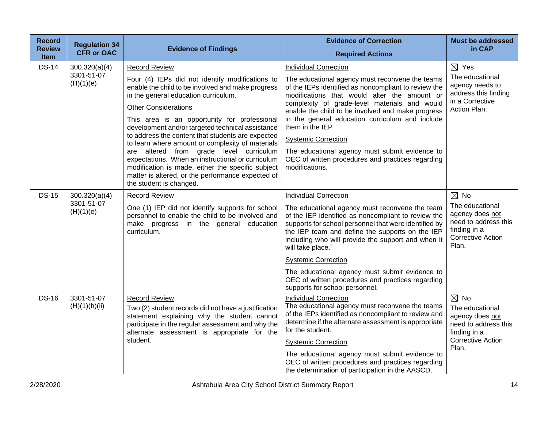| <b>Record</b>         | <b>Regulation 34</b>        |                                                                                                                                                                                                                                                                                       | <b>Evidence of Correction</b>                                                                                                                                                                                                                                                                                    | <b>Must be addressed</b>                                                                                                          |
|-----------------------|-----------------------------|---------------------------------------------------------------------------------------------------------------------------------------------------------------------------------------------------------------------------------------------------------------------------------------|------------------------------------------------------------------------------------------------------------------------------------------------------------------------------------------------------------------------------------------------------------------------------------------------------------------|-----------------------------------------------------------------------------------------------------------------------------------|
| <b>Review</b><br>Item | <b>CFR or OAC</b>           | <b>Evidence of Findings</b>                                                                                                                                                                                                                                                           | <b>Required Actions</b>                                                                                                                                                                                                                                                                                          | in CAP                                                                                                                            |
| <b>DS-14</b>          | 300.320(a)(4)<br>3301-51-07 | <b>Record Review</b>                                                                                                                                                                                                                                                                  | <b>Individual Correction</b>                                                                                                                                                                                                                                                                                     | $\boxtimes$ Yes                                                                                                                   |
|                       | (H)(1)(e)                   | Four (4) IEPs did not identify modifications to<br>enable the child to be involved and make progress<br>in the general education curriculum.<br><b>Other Considerations</b><br>This area is an opportunity for professional                                                           | The educational agency must reconvene the teams<br>of the IEPs identified as noncompliant to review the<br>modifications that would alter the amount or<br>complexity of grade-level materials and would<br>enable the child to be involved and make progress<br>in the general education curriculum and include | The educational<br>agency needs to<br>address this finding<br>in a Corrective<br>Action Plan.                                     |
|                       |                             | development and/or targeted technical assistance<br>to address the content that students are expected                                                                                                                                                                                 | them in the IEP                                                                                                                                                                                                                                                                                                  |                                                                                                                                   |
|                       |                             | to learn where amount or complexity of materials<br>are altered from grade level curriculum<br>expectations. When an instructional or curriculum<br>modification is made, either the specific subject<br>matter is altered, or the performance expected of<br>the student is changed. | <b>Systemic Correction</b><br>The educational agency must submit evidence to<br>OEC of written procedures and practices regarding<br>modifications.                                                                                                                                                              |                                                                                                                                   |
| <b>DS-15</b>          | 300.320(a)(4)               | <b>Record Review</b>                                                                                                                                                                                                                                                                  | <b>Individual Correction</b>                                                                                                                                                                                                                                                                                     | $\boxtimes$ No                                                                                                                    |
|                       | 3301-51-07<br>(H)(1)(e)     | One (1) IEP did not identify supports for school<br>personnel to enable the child to be involved and<br>make progress in the general education<br>curriculum.                                                                                                                         | The educational agency must reconvene the team<br>of the IEP identified as noncompliant to review the<br>supports for school personnel that were identified by<br>the IEP team and define the supports on the IEP<br>including who will provide the support and when it<br>will take place."                     | The educational<br>agency does not<br>need to address this<br>finding in a<br><b>Corrective Action</b><br>Plan.                   |
|                       |                             |                                                                                                                                                                                                                                                                                       | <b>Systemic Correction</b>                                                                                                                                                                                                                                                                                       |                                                                                                                                   |
|                       |                             |                                                                                                                                                                                                                                                                                       | The educational agency must submit evidence to<br>OEC of written procedures and practices regarding<br>supports for school personnel.                                                                                                                                                                            |                                                                                                                                   |
| <b>DS-16</b>          | 3301-51-07<br>(H)(1)(h)(ii) | <b>Record Review</b><br>Two (2) student records did not have a justification<br>statement explaining why the student cannot<br>participate in the regular assessment and why the<br>alternate assessment is appropriate for the<br>student.                                           | <b>Individual Correction</b><br>The educational agency must reconvene the teams<br>of the IEPs identified as noncompliant to review and<br>determine if the alternate assessment is appropriate<br>for the student.<br><b>Systemic Correction</b>                                                                | $\boxtimes$ No<br>The educational<br>agency does not<br>need to address this<br>finding in a<br><b>Corrective Action</b><br>Plan. |
|                       |                             |                                                                                                                                                                                                                                                                                       | The educational agency must submit evidence to<br>OEC of written procedures and practices regarding<br>the determination of participation in the AASCD.                                                                                                                                                          |                                                                                                                                   |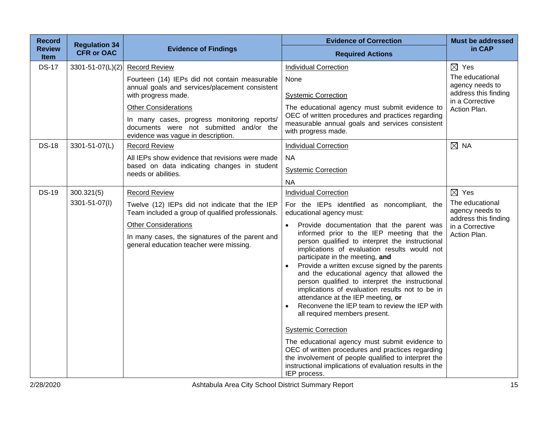| <b>Record</b>                | <b>Regulation 34</b> |                                                                                                                              | <b>Evidence of Correction</b>                                                                                                                                                                                                                                                                                                                                                                                                                                                                                                                                                                                                                                                                                                                                                                                                       | <b>Must be addressed</b>                                   |
|------------------------------|----------------------|------------------------------------------------------------------------------------------------------------------------------|-------------------------------------------------------------------------------------------------------------------------------------------------------------------------------------------------------------------------------------------------------------------------------------------------------------------------------------------------------------------------------------------------------------------------------------------------------------------------------------------------------------------------------------------------------------------------------------------------------------------------------------------------------------------------------------------------------------------------------------------------------------------------------------------------------------------------------------|------------------------------------------------------------|
| <b>Review</b><br><b>Item</b> | <b>CFR or OAC</b>    | <b>Evidence of Findings</b>                                                                                                  | <b>Required Actions</b>                                                                                                                                                                                                                                                                                                                                                                                                                                                                                                                                                                                                                                                                                                                                                                                                             | in CAP                                                     |
| <b>DS-17</b>                 | 3301-51-07(L)(2)     | <b>Record Review</b>                                                                                                         | <b>Individual Correction</b>                                                                                                                                                                                                                                                                                                                                                                                                                                                                                                                                                                                                                                                                                                                                                                                                        | $\boxtimes$ Yes                                            |
|                              |                      | Fourteen (14) IEPs did not contain measurable<br>annual goals and services/placement consistent<br>with progress made.       | None<br><b>Systemic Correction</b>                                                                                                                                                                                                                                                                                                                                                                                                                                                                                                                                                                                                                                                                                                                                                                                                  | The educational<br>agency needs to<br>address this finding |
|                              |                      | <b>Other Considerations</b>                                                                                                  | The educational agency must submit evidence to                                                                                                                                                                                                                                                                                                                                                                                                                                                                                                                                                                                                                                                                                                                                                                                      | in a Corrective<br>Action Plan.                            |
|                              |                      | In many cases, progress monitoring reports/<br>documents were not submitted and/or the<br>evidence was vague in description. | OEC of written procedures and practices regarding<br>measurable annual goals and services consistent<br>with progress made.                                                                                                                                                                                                                                                                                                                                                                                                                                                                                                                                                                                                                                                                                                         |                                                            |
| <b>DS-18</b>                 | 3301-51-07(L)        | <b>Record Review</b>                                                                                                         | <b>Individual Correction</b>                                                                                                                                                                                                                                                                                                                                                                                                                                                                                                                                                                                                                                                                                                                                                                                                        | $\boxtimes$ NA                                             |
|                              |                      | All IEPs show evidence that revisions were made                                                                              | <b>NA</b>                                                                                                                                                                                                                                                                                                                                                                                                                                                                                                                                                                                                                                                                                                                                                                                                                           |                                                            |
|                              |                      | based on data indicating changes in student<br>needs or abilities.                                                           | <b>Systemic Correction</b>                                                                                                                                                                                                                                                                                                                                                                                                                                                                                                                                                                                                                                                                                                                                                                                                          |                                                            |
|                              |                      |                                                                                                                              | <b>NA</b>                                                                                                                                                                                                                                                                                                                                                                                                                                                                                                                                                                                                                                                                                                                                                                                                                           |                                                            |
| <b>DS-19</b>                 | 300.321(5)           | <b>Record Review</b>                                                                                                         | <b>Individual Correction</b>                                                                                                                                                                                                                                                                                                                                                                                                                                                                                                                                                                                                                                                                                                                                                                                                        | $\boxtimes$ Yes                                            |
|                              | 3301-51-07(I)        | Twelve (12) IEPs did not indicate that the IEP<br>Team included a group of qualified professionals.                          | For the IEPs identified as noncompliant, the<br>educational agency must:                                                                                                                                                                                                                                                                                                                                                                                                                                                                                                                                                                                                                                                                                                                                                            | The educational<br>agency needs to<br>address this finding |
|                              |                      | <b>Other Considerations</b><br>In many cases, the signatures of the parent and<br>general education teacher were missing.    | Provide documentation that the parent was<br>informed prior to the IEP meeting that the<br>person qualified to interpret the instructional<br>implications of evaluation results would not<br>participate in the meeting, and<br>Provide a written excuse signed by the parents<br>and the educational agency that allowed the<br>person qualified to interpret the instructional<br>implications of evaluation results not to be in<br>attendance at the IEP meeting, or<br>Reconvene the IEP team to review the IEP with<br>all required members present.<br><b>Systemic Correction</b><br>The educational agency must submit evidence to<br>OEC of written procedures and practices regarding<br>the involvement of people qualified to interpret the<br>instructional implications of evaluation results in the<br>IEP process. | in a Corrective<br>Action Plan.                            |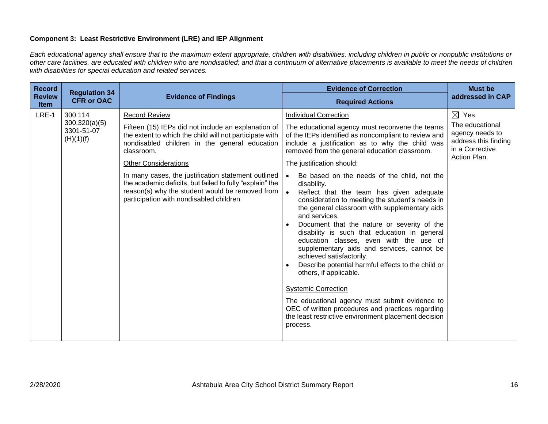## **Component 3: Least Restrictive Environment (LRE) and IEP Alignment**

*Each educational agency shall ensure that to the maximum extent appropriate, children with disabilities, including children in public or nonpublic institutions or other care facilities, are educated with children who are nondisabled; and that a continuum of alternative placements is available to meet the needs of children with disabilities for special education and related services.*

| <b>Record</b>                | <b>Regulation 34</b><br><b>CFR or OAC</b>           | <b>Evidence of Findings</b>                                                                                                                                                                                    | <b>Evidence of Correction</b>                                                                                                                                                                                                                                                                                                                                                                                                                                                                                                                                                                                                                                                                                                                         | <b>Must be</b><br>addressed in CAP                                                            |
|------------------------------|-----------------------------------------------------|----------------------------------------------------------------------------------------------------------------------------------------------------------------------------------------------------------------|-------------------------------------------------------------------------------------------------------------------------------------------------------------------------------------------------------------------------------------------------------------------------------------------------------------------------------------------------------------------------------------------------------------------------------------------------------------------------------------------------------------------------------------------------------------------------------------------------------------------------------------------------------------------------------------------------------------------------------------------------------|-----------------------------------------------------------------------------------------------|
| <b>Review</b><br><b>Item</b> |                                                     |                                                                                                                                                                                                                | <b>Required Actions</b>                                                                                                                                                                                                                                                                                                                                                                                                                                                                                                                                                                                                                                                                                                                               |                                                                                               |
| LRE-1                        | 300.114<br>300.320(a)(5)<br>3301-51-07<br>(H)(1)(f) | <b>Record Review</b>                                                                                                                                                                                           | <b>Individual Correction</b>                                                                                                                                                                                                                                                                                                                                                                                                                                                                                                                                                                                                                                                                                                                          | $\boxtimes$ Yes                                                                               |
|                              |                                                     | Fifteen (15) IEPs did not include an explanation of<br>the extent to which the child will not participate with<br>nondisabled children in the general education<br>classroom.                                  | The educational agency must reconvene the teams<br>of the IEPs identified as noncompliant to review and<br>include a justification as to why the child was<br>removed from the general education classroom.                                                                                                                                                                                                                                                                                                                                                                                                                                                                                                                                           | The educational<br>agency needs to<br>address this finding<br>in a Corrective<br>Action Plan. |
|                              |                                                     | <b>Other Considerations</b>                                                                                                                                                                                    | The justification should:                                                                                                                                                                                                                                                                                                                                                                                                                                                                                                                                                                                                                                                                                                                             |                                                                                               |
|                              |                                                     | In many cases, the justification statement outlined<br>the academic deficits, but failed to fully "explain" the<br>reason(s) why the student would be removed from<br>participation with nondisabled children. | Be based on the needs of the child, not the<br>disability.<br>Reflect that the team has given adequate<br>$\bullet$<br>consideration to meeting the student's needs in<br>the general classroom with supplementary aids<br>and services.<br>Document that the nature or severity of the<br>disability is such that education in general<br>education classes, even with the use of<br>supplementary aids and services, cannot be<br>achieved satisfactorily.<br>Describe potential harmful effects to the child or<br>others, if applicable.<br><b>Systemic Correction</b><br>The educational agency must submit evidence to<br>OEC of written procedures and practices regarding<br>the least restrictive environment placement decision<br>process. |                                                                                               |